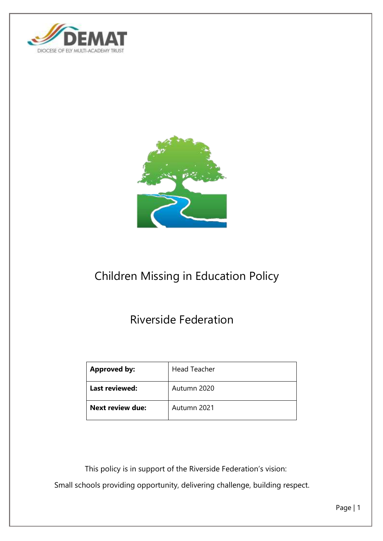



# Children Missing in Education Policy

# Riverside Federation

| <b>Approved by:</b>     | <b>Head Teacher</b> |
|-------------------------|---------------------|
| Last reviewed:          | Autumn 2020         |
| <b>Next review due:</b> | Autumn 2021         |

 This policy is in support of the Riverside Federation's vision: Small schools providing opportunity, delivering challenge, building respect.

Page | 1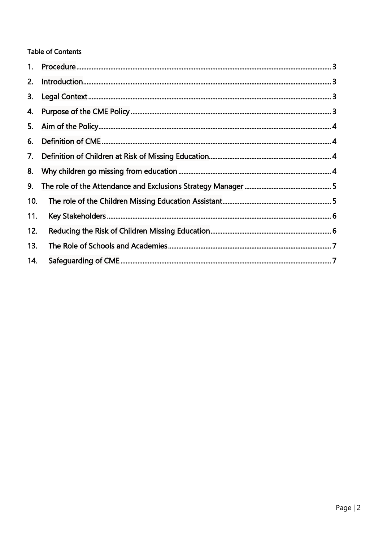# **Table of Contents**

| 1.  |  |
|-----|--|
| 2.  |  |
| 3.  |  |
| 4.  |  |
| 5.  |  |
| 6.  |  |
| 7.  |  |
| 8.  |  |
| 9.  |  |
| 10. |  |
| 11. |  |
| 12. |  |
| 13. |  |
| 14. |  |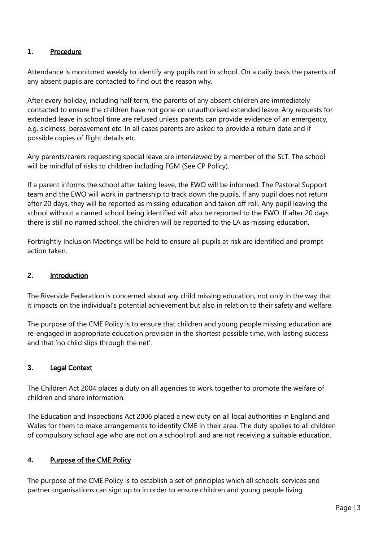### <span id="page-2-0"></span>**1.** Procedure

Attendance is monitored weekly to identify any pupils not in school. On a daily basis the parents of any absent pupils are contacted to find out the reason why.

After every holiday, including half term, the parents of any absent children are immediately contacted to ensure the children have not gone on unauthorised extended leave. Any requests for extended leave in school time are refused unless parents can provide evidence of an emergency, e.g. sickness, bereavement etc. In all cases parents are asked to provide a return date and if possible copies of flight details etc.

Any parents/carers requesting special leave are interviewed by a member of the SLT. The school will be mindful of risks to children including FGM (See CP Policy).

If a parent informs the school after taking leave, the EWO will be informed. The Pastoral Support team and the EWO will work in partnership to track down the pupils. If any pupil does not return after 20 days, they will be reported as missing education and taken off roll. Any pupil leaving the school without a named school being identified will also be reported to the EWO. If after 20 days there is still no named school, the children will be reported to the LA as missing education.

Fortnightly Inclusion Meetings will be held to ensure all pupils at risk are identified and prompt action taken.

#### <span id="page-2-1"></span>**2.** Introduction

The Riverside Federation is concerned about any child missing education, not only in the way that it impacts on the individual's potential achievement but also in relation to their safety and welfare.

The purpose of the CME Policy is to ensure that children and young people missing education are re-engaged in appropriate education provision in the shortest possible time, with lasting success and that 'no child slips through the net'.

#### <span id="page-2-2"></span>**3.** Legal Context

The Children Act 2004 places a duty on all agencies to work together to promote the welfare of children and share information.

The Education and Inspections Act 2006 placed a new duty on all local authorities in England and Wales for them to make arrangements to identify CME in their area. The duty applies to all children of compulsory school age who are not on a school roll and are not receiving a suitable education.

## <span id="page-2-3"></span>**4.** Purpose of the CME Policy

The purpose of the CME Policy is to establish a set of principles which all schools, services and partner organisations can sign up to in order to ensure children and young people living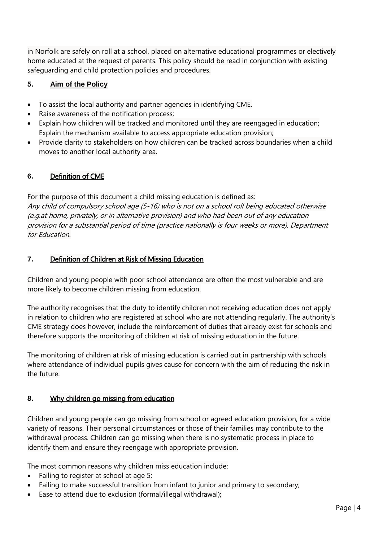in Norfolk are safely on roll at a school, placed on alternative educational programmes or electively home educated at the request of parents. This policy should be read in conjunction with existing safeguarding and child protection policies and procedures.

#### <span id="page-3-0"></span>**5. Aim of the Policy**

- To assist the local authority and partner agencies in identifying CME.
- Raise awareness of the notification process;
- Explain how children will be tracked and monitored until they are reengaged in education; Explain the mechanism available to access appropriate education provision;
- Provide clarity to stakeholders on how children can be tracked across boundaries when a child moves to another local authority area.

#### <span id="page-3-1"></span>**6.** Definition of CME

For the purpose of this document a child missing education is defined as: Any child of compulsory school age (5-16) who is not on a school roll being educated otherwise (e.g.at home, privately, or in alternative provision) and who had been out of any education provision for a substantial period of time (practice nationally is four weeks or more). Department for Education.

#### <span id="page-3-2"></span>**7.** Definition of Children at Risk of Missing Education

Children and young people with poor school attendance are often the most vulnerable and are more likely to become children missing from education.

The authority recognises that the duty to identify children not receiving education does not apply in relation to children who are registered at school who are not attending regularly. The authority's CME strategy does however, include the reinforcement of duties that already exist for schools and therefore supports the monitoring of children at risk of missing education in the future.

The monitoring of children at risk of missing education is carried out in partnership with schools where attendance of individual pupils gives cause for concern with the aim of reducing the risk in the future.

## <span id="page-3-3"></span>**8.** Why children go missing from education

Children and young people can go missing from school or agreed education provision, for a wide variety of reasons. Their personal circumstances or those of their families may contribute to the withdrawal process. Children can go missing when there is no systematic process in place to identify them and ensure they reengage with appropriate provision.

The most common reasons why children miss education include:

- Failing to register at school at age 5;
- Failing to make successful transition from infant to junior and primary to secondary;
- Ease to attend due to exclusion (formal/illegal withdrawal);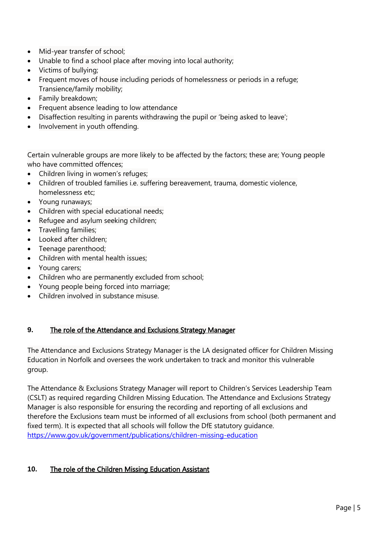- Mid-year transfer of school;
- Unable to find a school place after moving into local authority;
- Victims of bullying;
- Frequent moves of house including periods of homelessness or periods in a refuge; Transience/family mobility;
- Family breakdown;
- Frequent absence leading to low attendance
- Disaffection resulting in parents withdrawing the pupil or 'being asked to leave';
- Involvement in youth offending.

Certain vulnerable groups are more likely to be affected by the factors; these are; Young people who have committed offences;

- Children living in women's refuges;
- Children of troubled families i.e. suffering bereavement, trauma, domestic violence, homelessness etc;
- Young runaways;
- Children with special educational needs;
- Refugee and asylum seeking children;
- Travelling families:
- Looked after children;
- Teenage parenthood;
- Children with mental health issues:
- Young carers;
- Children who are permanently excluded from school;
- Young people being forced into marriage;
- Children involved in substance misuse.

## <span id="page-4-0"></span>**9.** The role of the Attendance and Exclusions Strategy Manager

The Attendance and Exclusions Strategy Manager is the LA designated officer for Children Missing Education in Norfolk and oversees the work undertaken to track and monitor this vulnerable group.

The Attendance & Exclusions Strategy Manager will report to Children's Services Leadership Team (CSLT) as required regarding Children Missing Education. The Attendance and Exclusions Strategy Manager is also responsible for ensuring the recording and reporting of all exclusions and therefore the Exclusions team must be informed of all exclusions from school (both permanent and fixed term). It is expected that all schools will follow the DfE statutory guidance. <https://www.gov.uk/government/publications/children-missing-education>

# <span id="page-4-1"></span>**10.** The role of the Children Missing Education Assistant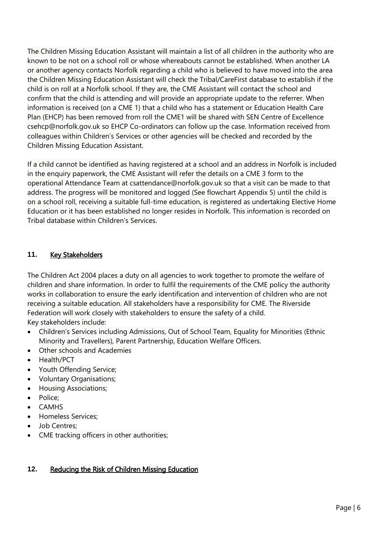The Children Missing Education Assistant will maintain a list of all children in the authority who are known to be not on a school roll or whose whereabouts cannot be established. When another LA or another agency contacts Norfolk regarding a child who is believed to have moved into the area the Children Missing Education Assistant will check the Tribal/CareFirst database to establish if the child is on roll at a Norfolk school. If they are, the CME Assistant will contact the school and confirm that the child is attending and will provide an appropriate update to the referrer. When information is received (on a CME 1) that a child who has a statement or Education Health Care Plan (EHCP) has been removed from roll the CME1 will be shared with SEN Centre of Excellence csehcp@norfolk.gov.uk so EHCP Co-ordinators can follow up the case. Information received from colleagues within Children's Services or other agencies will be checked and recorded by the Children Missing Education Assistant.

If a child cannot be identified as having registered at a school and an address in Norfolk is included in the enquiry paperwork, the CME Assistant will refer the details on a CME 3 form to the operational Attendance Team at csattendance@norfolk.gov.uk so that a visit can be made to that address. The progress will be monitored and logged (See flowchart Appendix 5) until the child is on a school roll, receiving a suitable full-time education, is registered as undertaking Elective Home Education or it has been established no longer resides in Norfolk. This information is recorded on Tribal database within Children's Services.

## <span id="page-5-0"></span>**11.** Key Stakeholders

The Children Act 2004 places a duty on all agencies to work together to promote the welfare of children and share information. In order to fulfil the requirements of the CME policy the authority works in collaboration to ensure the early identification and intervention of children who are not receiving a suitable education. All stakeholders have a responsibility for CME. The Riverside Federation will work closely with stakeholders to ensure the safety of a child. Key stakeholders include:

- Children's Services including Admissions, Out of School Team, Equality for Minorities (Ethnic Minority and Travellers), Parent Partnership, Education Welfare Officers.
- Other schools and Academies
- Health/PCT
- Youth Offending Service:
- Voluntary Organisations;
- **•** Housing Associations;
- Police:
- CAMHS
- Homeless Services:
- Job Centres:
- CME tracking officers in other authorities;

## <span id="page-5-1"></span>**12.** Reducing the Risk of Children Missing Education